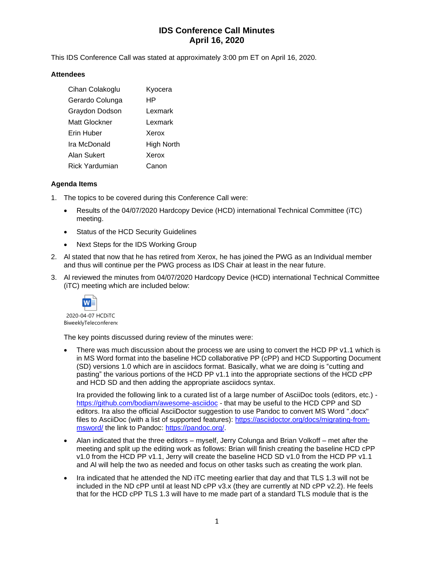This IDS Conference Call was stated at approximately 3:00 pm ET on April 16, 2020.

### **Attendees**

| Cihan Colakoglu | Kyocera    |
|-----------------|------------|
| Gerardo Colunga | HP         |
| Graydon Dodson  | Lexmark    |
| Matt Glockner   | Lexmark    |
| Erin Huber      | Xerox      |
| Ira McDonald    | High North |
| Alan Sukert     | Xerox      |
| Rick Yardumian  | Canon      |

### **Agenda Items**

- 1. The topics to be covered during this Conference Call were:
	- Results of the 04/07/2020 Hardcopy Device (HCD) international Technical Committee (iTC) meeting.
	- Status of the HCD Security Guidelines
	- Next Steps for the IDS Working Group
- 2. Al stated that now that he has retired from Xerox, he has joined the PWG as an Individual member and thus will continue per the PWG process as IDS Chair at least in the near future.
- 3. Al reviewed the minutes from 04/07/2020 Hardcopy Device (HCD) international Technical Committee (iTC) meeting which are included below:



2020-04-07 HCDiTC BiweeklyTeleconferenc

The key points discussed during review of the minutes were:

There was much discussion about the process we are using to convert the HCD PP v1.1 which is in MS Word format into the baseline HCD collaborative PP (cPP) and HCD Supporting Document (SD) versions 1.0 which are in asciidocs format. Basically, what we are doing is "cutting and pasting" the various portions of the HCD PP v1.1 into the appropriate sections of the HCD cPP and HCD SD and then adding the appropriate asciidocs syntax.

Ira provided the following link to a curated list of a large number of AsciiDoc tools (editors, etc.) <https://github.com/bodiam/awesome-asciidoc> - that may be useful to the HCD CPP and SD editors. Ira also the official AsciiDoctor suggestion to use Pandoc to convert MS Word ".docx" files to AsciiDoc (with a list of supported features): [https://asciidoctor.org/docs/migrating-from](https://asciidoctor.org/docs/migrating-from-msword/)[msword/](https://asciidoctor.org/docs/migrating-from-msword/) the link to Pandoc: [https://pandoc.org/.](https://pandoc.org/)

- Alan indicated that the three editors myself, Jerry Colunga and Brian Volkoff met after the meeting and split up the editing work as follows: Brian will finish creating the baseline HCD cPP v1.0 from the HCD PP v1.1, Jerry will create the baseline HCD SD v1.0 from the HCD PP v1.1 and Al will help the two as needed and focus on other tasks such as creating the work plan.
- Ira indicated that he attended the ND iTC meeting earlier that day and that TLS 1.3 will not be included in the ND cPP until at least ND cPP v3.x (they are currently at ND cPP v2.2). He feels that for the HCD cPP TLS 1.3 will have to me made part of a standard TLS module that is the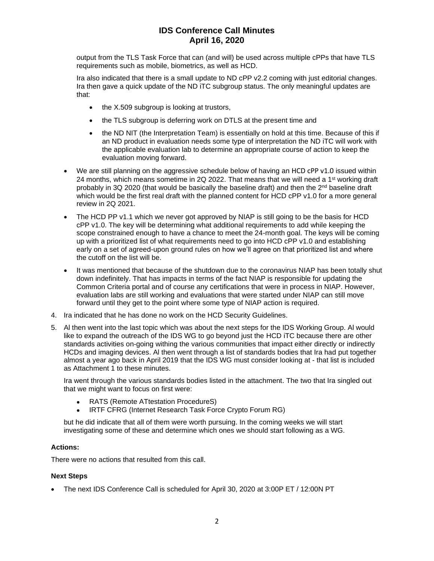output from the TLS Task Force that can (and will) be used across multiple cPPs that have TLS requirements such as mobile, biometrics, as well as HCD.

Ira also indicated that there is a small update to ND cPP v2.2 coming with just editorial changes. Ira then gave a quick update of the ND iTC subgroup status. The only meaningful updates are that:

- the X.509 subgroup is looking at trustors,
- the TLS subgroup is deferring work on DTLS at the present time and
- the ND NIT (the Interpretation Team) is essentially on hold at this time. Because of this if an ND product in evaluation needs some type of interpretation the ND iTC will work with the applicable evaluation lab to determine an appropriate course of action to keep the evaluation moving forward.
- We are still planning on the aggressive schedule below of having an HCD cPP v1.0 issued within 24 months, which means sometime in 2Q 2022. That means that we will need a 1<sup>st</sup> working draft probably in 3Q 2020 (that would be basically the baseline draft) and then the  $2<sup>nd</sup>$  baseline draft which would be the first real draft with the planned content for HCD cPP v1.0 for a more general review in 2Q 2021.
- The HCD PP v1.1 which we never got approved by NIAP is still going to be the basis for HCD cPP v1.0. The key will be determining what additional requirements to add while keeping the scope constrained enough to have a chance to meet the 24-month goal. The keys will be coming up with a prioritized list of what requirements need to go into HCD cPP v1.0 and establishing early on a set of agreed-upon ground rules on how we'll agree on that prioritized list and where the cutoff on the list will be.
- It was mentioned that because of the shutdown due to the coronavirus NIAP has been totally shut down indefinitely. That has impacts in terms of the fact NIAP is responsible for updating the Common Criteria portal and of course any certifications that were in process in NIAP. However, evaluation labs are still working and evaluations that were started under NIAP can still move forward until they get to the point where some type of NIAP action is required.
- 4. Ira indicated that he has done no work on the HCD Security Guidelines.
- 5. Al then went into the last topic which was about the next steps for the IDS Working Group. Al would like to expand the outreach of the IDS WG to go beyond just the HCD iTC because there are other standards activities on-going withing the various communities that impact either directly or indirectly HCDs and imaging devices. Al then went through a list of standards bodies that Ira had put together almost a year ago back in April 2019 that the IDS WG must consider looking at - that list is included as Attachment 1 to these minutes.

Ira went through the various standards bodies listed in the attachment. The two that Ira singled out that we might want to focus on first were:

- RATS (Remote ATtestation ProcedureS)
- IRTF CFRG (Internet Research Task Force Crypto Forum RG)

but he did indicate that all of them were worth pursuing. In the coming weeks we will start investigating some of these and determine which ones we should start following as a WG.

#### **Actions:**

There were no actions that resulted from this call.

#### **Next Steps**

• The next IDS Conference Call is scheduled for April 30, 2020 at 3:00P ET / 12:00N PT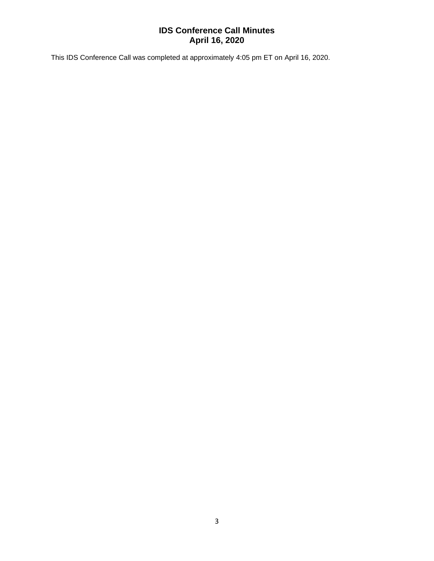This IDS Conference Call was completed at approximately 4:05 pm ET on April 16, 2020.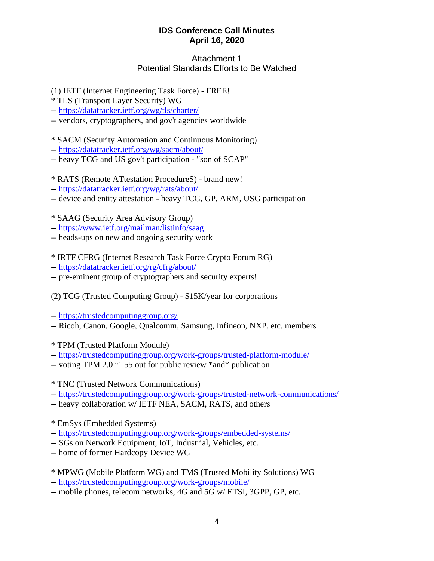## Attachment 1 Potential Standards Efforts to Be Watched

(1) IETF (Internet Engineering Task Force) - FREE!

- \* TLS (Transport Layer Security) WG
- -- [https://datatracker.ietf.org/wg/tls/charter/](mhtml:file://C:/Users/Alan%20Sukert/AppData/Roaming/CDTPL/2770691a-3168-43e0-af37-21396f61dade.mht!https://datatracker.ietf.org/wg/tls/charter/)
- -- vendors, cryptographers, and gov't agencies worldwide
- \* SACM (Security Automation and Continuous Monitoring)
- -- [https://datatracker.ietf.org/wg/sacm/about/](mhtml:file://C:/Users/Alan%20Sukert/AppData/Roaming/CDTPL/2770691a-3168-43e0-af37-21396f61dade.mht!https://datatracker.ietf.org/wg/sacm/about/)
- -- heavy TCG and US gov't participation "son of SCAP"
- \* RATS (Remote ATtestation ProcedureS) brand new!
- -- [https://datatracker.ietf.org/wg/rats/about/](mhtml:file://C:/Users/Alan%20Sukert/AppData/Roaming/CDTPL/2770691a-3168-43e0-af37-21396f61dade.mht!https://datatracker.ietf.org/wg/rats/about/)
- -- device and entity attestation heavy TCG, GP, ARM, USG participation

\* SAAG (Security Area Advisory Group)

- -- [https://www.ietf.org/mailman/listinfo/saag](mhtml:file://C:/Users/Alan%20Sukert/AppData/Roaming/CDTPL/2770691a-3168-43e0-af37-21396f61dade.mht!https://www.ietf.org/mailman/listinfo/saag)
- -- heads-ups on new and ongoing security work
- \* IRTF CFRG (Internet Research Task Force Crypto Forum RG)
- -- [https://datatracker.ietf.org/rg/cfrg/about/](mhtml:file://C:/Users/Alan%20Sukert/AppData/Roaming/CDTPL/2770691a-3168-43e0-af37-21396f61dade.mht!https://datatracker.ietf.org/rg/cfrg/about/)
- -- pre-eminent group of cryptographers and security experts!
- (2) TCG (Trusted Computing Group) \$15K/year for corporations
- -- [https://trustedcomputinggroup.org/](mhtml:file://C:/Users/Alan%20Sukert/AppData/Roaming/CDTPL/2770691a-3168-43e0-af37-21396f61dade.mht!https://trustedcomputinggroup.org/)
- -- Ricoh, Canon, Google, Qualcomm, Samsung, Infineon, NXP, etc. members
- \* TPM (Trusted Platform Module)
- -- [https://trustedcomputinggroup.org/work-groups/trusted-platform-module/](mhtml:file://C:/Users/Alan%20Sukert/AppData/Roaming/CDTPL/2770691a-3168-43e0-af37-21396f61dade.mht!https://trustedcomputinggroup.org/work-groups/trusted-platform-module/)
- -- voting TPM 2.0 r1.55 out for public review \*and\* publication

\* TNC (Trusted Network Communications)

- -- [https://trustedcomputinggroup.org/work-groups/trusted-network-communications/](mhtml:file://C:/Users/Alan%20Sukert/AppData/Roaming/CDTPL/2770691a-3168-43e0-af37-21396f61dade.mht!https://trustedcomputinggroup.org/work-groups/trusted-network-communications/)
- -- heavy collaboration w/ IETF NEA, SACM, RATS, and others
- \* EmSys (Embedded Systems)
- -- [https://trustedcomputinggroup.org/work-groups/embedded-systems/](mhtml:file://C:/Users/Alan%20Sukert/AppData/Roaming/CDTPL/2770691a-3168-43e0-af37-21396f61dade.mht!https://trustedcomputinggroup.org/work-groups/embedded-systems/)
- -- SGs on Network Equipment, IoT, Industrial, Vehicles, etc.
- -- home of former Hardcopy Device WG
- \* MPWG (Mobile Platform WG) and TMS (Trusted Mobility Solutions) WG
- -- [https://trustedcomputinggroup.org/work-groups/mobile/](mhtml:file://C:/Users/Alan%20Sukert/AppData/Roaming/CDTPL/2770691a-3168-43e0-af37-21396f61dade.mht!https://trustedcomputinggroup.org/work-groups/mobile/)
- -- mobile phones, telecom networks, 4G and 5G w/ ETSI, 3GPP, GP, etc.